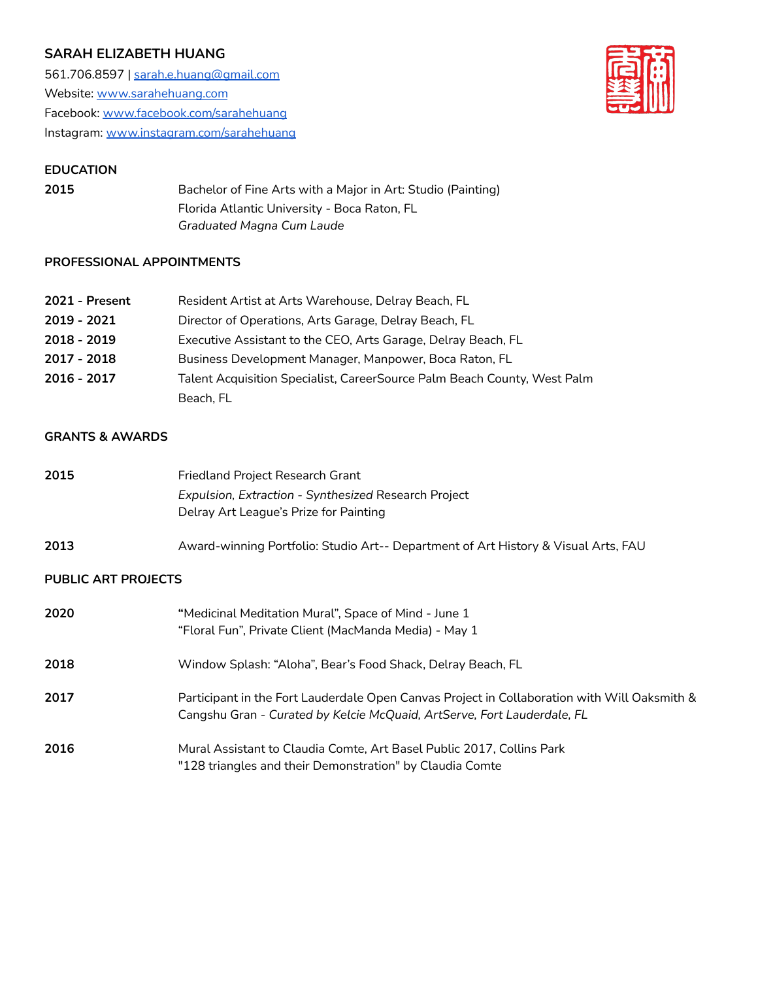# **SARAH ELIZABETH HUANG**

561.706.8597 | [sarah.e.huang@gmail.com](mailto:sarah.e.huang@gmail.com) Website: [www.sarahehuang.com](http://www.sarahehuang.com) Facebook: [www.facebook.com/sarahehuang](http://www.facebook.com/sarahehuang) Instagram: [www.instagram.com/sarahehuang](http://www.instagram.com/sarahehuang)



#### **EDUCATION**

**2015** Bachelor of Fine Arts with a Major in Art: Studio (Painting) Florida Atlantic University - Boca Raton, FL *Graduated Magna Cum Laude*

### **PROFESSIONAL APPOINTMENTS**

| 2021 - Present | Resident Artist at Arts Warehouse, Delray Beach, FL                      |
|----------------|--------------------------------------------------------------------------|
| 2019 - 2021    | Director of Operations, Arts Garage, Delray Beach, FL                    |
| 2018 - 2019    | Executive Assistant to the CEO, Arts Garage, Delray Beach, FL            |
| 2017 - 2018    | Business Development Manager, Manpower, Boca Raton, FL                   |
| 2016 - 2017    | Talent Acquisition Specialist, CareerSource Palm Beach County, West Palm |
|                | Beach, FL                                                                |

## **GRANTS & AWARDS**

| 2015                       | Friedland Project Research Grant                                                             |
|----------------------------|----------------------------------------------------------------------------------------------|
|                            | Expulsion, Extraction - Synthesized Research Project                                         |
|                            | Delray Art League's Prize for Painting                                                       |
| 2013                       | Award-winning Portfolio: Studio Art-- Department of Art History & Visual Arts, FAU           |
| <b>PUBLIC ART PROJECTS</b> |                                                                                              |
| 2020                       | "Medicinal Meditation Mural", Space of Mind - June 1                                         |
|                            | "Floral Fun", Private Client (MacManda Media) - May 1                                        |
| 2018                       | Window Splash: "Aloha", Bear's Food Shack, Delray Beach, FL                                  |
| 2017                       | Participant in the Fort Lauderdale Open Canvas Project in Collaboration with Will Oaksmith & |
|                            | Cangshu Gran - Curated by Kelcie McQuaid, ArtServe, Fort Lauderdale, FL                      |
| 2016                       | Mural Assistant to Claudia Comte, Art Basel Public 2017, Collins Park                        |
|                            | "128 triangles and their Demonstration" by Claudia Comte                                     |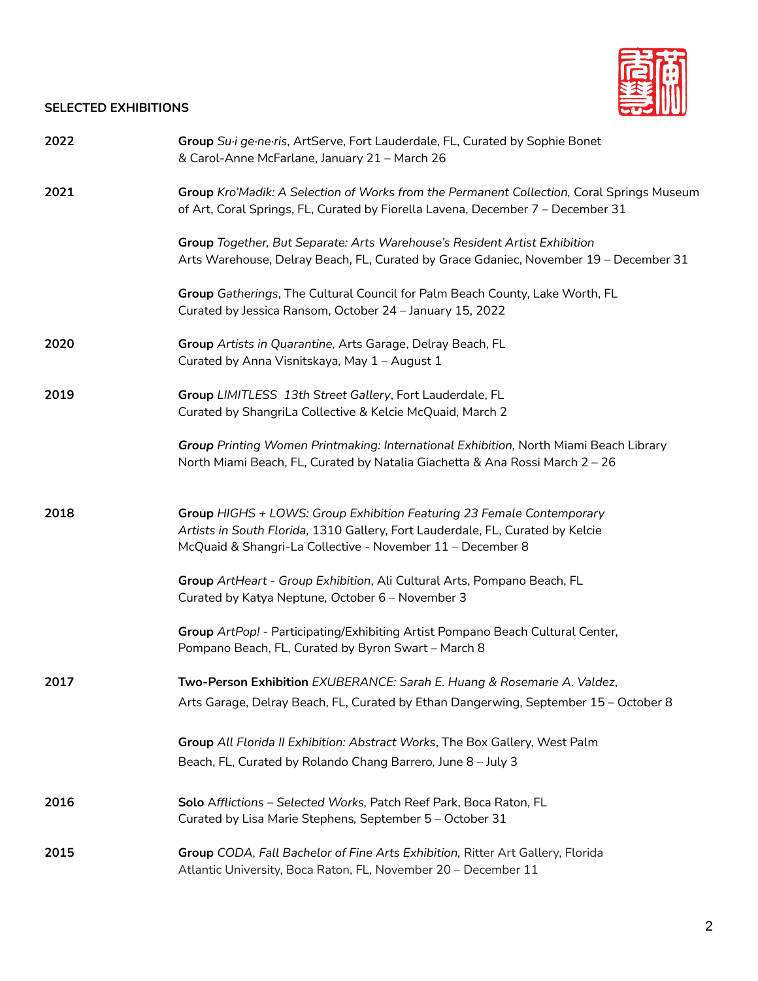## **SELECTED EXHIBITIONS**



| 2022 | Group Su <sub>i</sub> ge·ne·ris, ArtServe, Fort Lauderdale, FL, Curated by Sophie Bonet<br>& Carol-Anne McFarlane, January 21 - March 26                                                                              |
|------|-----------------------------------------------------------------------------------------------------------------------------------------------------------------------------------------------------------------------|
| 2021 | Group Kro'Madik: A Selection of Works from the Permanent Collection, Coral Springs Museum<br>of Art, Coral Springs, FL, Curated by Fiorella Lavena, December 7 - December 31                                          |
|      | Group Together, But Separate: Arts Warehouse's Resident Artist Exhibition<br>Arts Warehouse, Delray Beach, FL, Curated by Grace Gdaniec, November 19 - December 31                                                    |
|      | Group Gatherings, The Cultural Council for Palm Beach County, Lake Worth, FL<br>Curated by Jessica Ransom, October 24 - January 15, 2022                                                                              |
| 2020 | Group Artists in Quarantine, Arts Garage, Delray Beach, FL<br>Curated by Anna Visnitskaya, May 1 - August 1                                                                                                           |
| 2019 | Group LIMITLESS 13th Street Gallery, Fort Lauderdale, FL<br>Curated by ShangriLa Collective & Kelcie McQuaid, March 2                                                                                                 |
|      | Group Printing Women Printmaking: International Exhibition, North Miami Beach Library<br>North Miami Beach, FL, Curated by Natalia Giachetta & Ana Rossi March 2 - 26                                                 |
| 2018 | Group HIGHS + LOWS: Group Exhibition Featuring 23 Female Contemporary<br>Artists in South Florida, 1310 Gallery, Fort Lauderdale, FL, Curated by Kelcie<br>McQuaid & Shangri-La Collective - November 11 - December 8 |
|      | Group ArtHeart - Group Exhibition, Ali Cultural Arts, Pompano Beach, FL<br>Curated by Katya Neptune, October 6 - November 3                                                                                           |
|      | Group ArtPop! - Participating/Exhibiting Artist Pompano Beach Cultural Center,<br>Pompano Beach, FL, Curated by Byron Swart - March 8                                                                                 |
| 2017 | Two-Person Exhibition EXUBERANCE: Sarah E. Huang & Rosemarie A. Valdez,                                                                                                                                               |
|      | Arts Garage, Delray Beach, FL, Curated by Ethan Dangerwing, September 15 - October 8                                                                                                                                  |
|      | Group All Florida II Exhibition: Abstract Works, The Box Gallery, West Palm                                                                                                                                           |
|      | Beach, FL, Curated by Rolando Chang Barrero, June 8 - July 3                                                                                                                                                          |
| 2016 | Solo Afflictions - Selected Works, Patch Reef Park, Boca Raton, FL<br>Curated by Lisa Marie Stephens, September 5 - October 31                                                                                        |
| 2015 | Group CODA, Fall Bachelor of Fine Arts Exhibition, Ritter Art Gallery, Florida<br>Atlantic University, Boca Raton, FL, November 20 - December 11                                                                      |